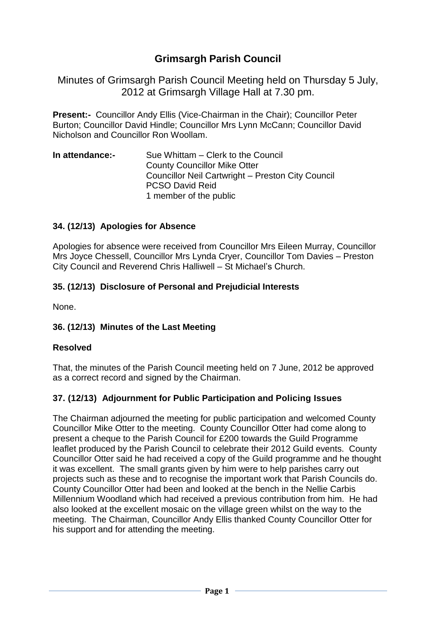# **Grimsargh Parish Council**

Minutes of Grimsargh Parish Council Meeting held on Thursday 5 July, 2012 at Grimsargh Village Hall at 7.30 pm.

**Present:-** Councillor Andy Ellis (Vice-Chairman in the Chair); Councillor Peter Burton; Councillor David Hindle; Councillor Mrs Lynn McCann; Councillor David Nicholson and Councillor Ron Woollam.

| In attendance:- | Sue Whittam – Clerk to the Council                |
|-----------------|---------------------------------------------------|
|                 | <b>County Councillor Mike Otter</b>               |
|                 | Councillor Neil Cartwright - Preston City Council |
|                 | <b>PCSO David Reid</b>                            |
|                 | 1 member of the public                            |

#### **34. (12/13) Apologies for Absence**

Apologies for absence were received from Councillor Mrs Eileen Murray, Councillor Mrs Joyce Chessell, Councillor Mrs Lynda Cryer, Councillor Tom Davies – Preston City Council and Reverend Chris Halliwell – St Michael's Church.

#### **35. (12/13) Disclosure of Personal and Prejudicial Interests**

None.

#### **36. (12/13) Minutes of the Last Meeting**

#### **Resolved**

That, the minutes of the Parish Council meeting held on 7 June, 2012 be approved as a correct record and signed by the Chairman.

### **37. (12/13) Adjournment for Public Participation and Policing Issues**

The Chairman adjourned the meeting for public participation and welcomed County Councillor Mike Otter to the meeting. County Councillor Otter had come along to present a cheque to the Parish Council for £200 towards the Guild Programme leaflet produced by the Parish Council to celebrate their 2012 Guild events. County Councillor Otter said he had received a copy of the Guild programme and he thought it was excellent. The small grants given by him were to help parishes carry out projects such as these and to recognise the important work that Parish Councils do. County Councillor Otter had been and looked at the bench in the Nellie Carbis Millennium Woodland which had received a previous contribution from him. He had also looked at the excellent mosaic on the village green whilst on the way to the meeting. The Chairman, Councillor Andy Ellis thanked County Councillor Otter for his support and for attending the meeting.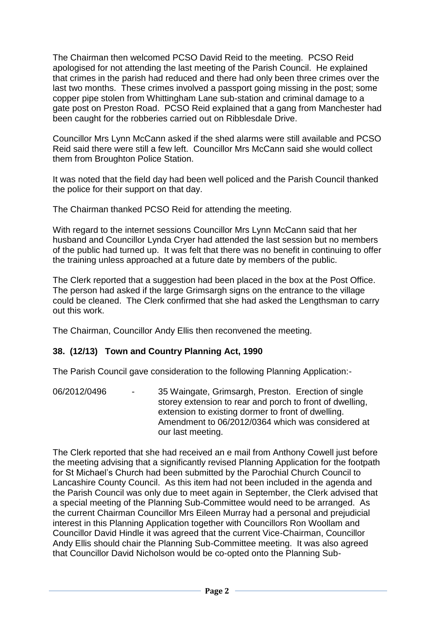The Chairman then welcomed PCSO David Reid to the meeting. PCSO Reid apologised for not attending the last meeting of the Parish Council. He explained that crimes in the parish had reduced and there had only been three crimes over the last two months. These crimes involved a passport going missing in the post; some copper pipe stolen from Whittingham Lane sub-station and criminal damage to a gate post on Preston Road. PCSO Reid explained that a gang from Manchester had been caught for the robberies carried out on Ribblesdale Drive.

Councillor Mrs Lynn McCann asked if the shed alarms were still available and PCSO Reid said there were still a few left. Councillor Mrs McCann said she would collect them from Broughton Police Station.

It was noted that the field day had been well policed and the Parish Council thanked the police for their support on that day.

The Chairman thanked PCSO Reid for attending the meeting.

With regard to the internet sessions Councillor Mrs Lynn McCann said that her husband and Councillor Lynda Cryer had attended the last session but no members of the public had turned up. It was felt that there was no benefit in continuing to offer the training unless approached at a future date by members of the public.

The Clerk reported that a suggestion had been placed in the box at the Post Office. The person had asked if the large Grimsargh signs on the entrance to the village could be cleaned. The Clerk confirmed that she had asked the Lengthsman to carry out this work.

The Chairman, Councillor Andy Ellis then reconvened the meeting.

### **38. (12/13) Town and Country Planning Act, 1990**

The Parish Council gave consideration to the following Planning Application:-

06/2012/0496 - 35 Waingate, Grimsargh, Preston. Erection of single storey extension to rear and porch to front of dwelling, extension to existing dormer to front of dwelling. Amendment to 06/2012/0364 which was considered at our last meeting.

The Clerk reported that she had received an e mail from Anthony Cowell just before the meeting advising that a significantly revised Planning Application for the footpath for St Michael's Church had been submitted by the Parochial Church Council to Lancashire County Council. As this item had not been included in the agenda and the Parish Council was only due to meet again in September, the Clerk advised that a special meeting of the Planning Sub-Committee would need to be arranged. As the current Chairman Councillor Mrs Eileen Murray had a personal and prejudicial interest in this Planning Application together with Councillors Ron Woollam and Councillor David Hindle it was agreed that the current Vice-Chairman, Councillor Andy Ellis should chair the Planning Sub-Committee meeting. It was also agreed that Councillor David Nicholson would be co-opted onto the Planning Sub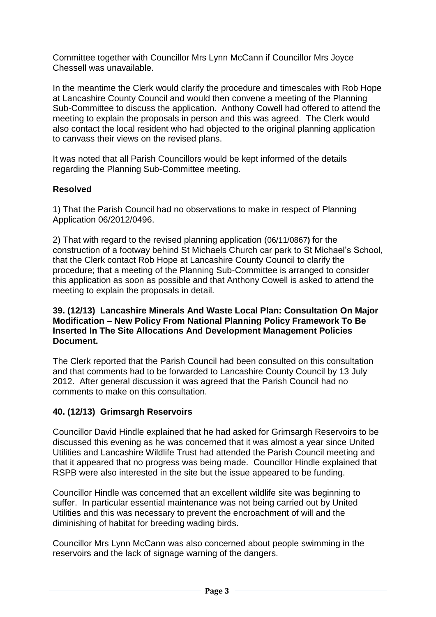Committee together with Councillor Mrs Lynn McCann if Councillor Mrs Joyce Chessell was unavailable.

In the meantime the Clerk would clarify the procedure and timescales with Rob Hope at Lancashire County Council and would then convene a meeting of the Planning Sub-Committee to discuss the application. Anthony Cowell had offered to attend the meeting to explain the proposals in person and this was agreed. The Clerk would also contact the local resident who had objected to the original planning application to canvass their views on the revised plans.

It was noted that all Parish Councillors would be kept informed of the details regarding the Planning Sub-Committee meeting.

# **Resolved**

1) That the Parish Council had no observations to make in respect of Planning Application 06/2012/0496.

2) That with regard to the revised planning application (06/11/0867**)** for the construction of a footway behind St Michaels Church car park to St Michael's School, that the Clerk contact Rob Hope at Lancashire County Council to clarify the procedure; that a meeting of the Planning Sub-Committee is arranged to consider this application as soon as possible and that Anthony Cowell is asked to attend the meeting to explain the proposals in detail.

#### **39. (12/13) Lancashire Minerals And Waste Local Plan: Consultation On Major Modification – New Policy From National Planning Policy Framework To Be Inserted In The Site Allocations And Development Management Policies Document.**

The Clerk reported that the Parish Council had been consulted on this consultation and that comments had to be forwarded to Lancashire County Council by 13 July 2012. After general discussion it was agreed that the Parish Council had no comments to make on this consultation.

### **40. (12/13) Grimsargh Reservoirs**

Councillor David Hindle explained that he had asked for Grimsargh Reservoirs to be discussed this evening as he was concerned that it was almost a year since United Utilities and Lancashire Wildlife Trust had attended the Parish Council meeting and that it appeared that no progress was being made. Councillor Hindle explained that RSPB were also interested in the site but the issue appeared to be funding.

Councillor Hindle was concerned that an excellent wildlife site was beginning to suffer. In particular essential maintenance was not being carried out by United Utilities and this was necessary to prevent the encroachment of will and the diminishing of habitat for breeding wading birds.

Councillor Mrs Lynn McCann was also concerned about people swimming in the reservoirs and the lack of signage warning of the dangers.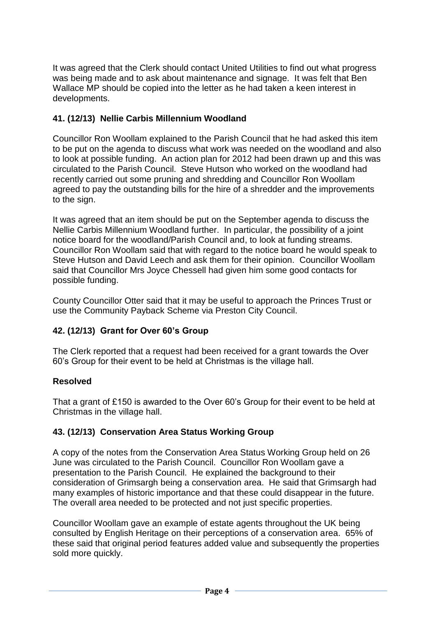It was agreed that the Clerk should contact United Utilities to find out what progress was being made and to ask about maintenance and signage. It was felt that Ben Wallace MP should be copied into the letter as he had taken a keen interest in developments.

# **41. (12/13) Nellie Carbis Millennium Woodland**

Councillor Ron Woollam explained to the Parish Council that he had asked this item to be put on the agenda to discuss what work was needed on the woodland and also to look at possible funding. An action plan for 2012 had been drawn up and this was circulated to the Parish Council. Steve Hutson who worked on the woodland had recently carried out some pruning and shredding and Councillor Ron Woollam agreed to pay the outstanding bills for the hire of a shredder and the improvements to the sign.

It was agreed that an item should be put on the September agenda to discuss the Nellie Carbis Millennium Woodland further. In particular, the possibility of a joint notice board for the woodland/Parish Council and, to look at funding streams. Councillor Ron Woollam said that with regard to the notice board he would speak to Steve Hutson and David Leech and ask them for their opinion. Councillor Woollam said that Councillor Mrs Joyce Chessell had given him some good contacts for possible funding.

County Councillor Otter said that it may be useful to approach the Princes Trust or use the Community Payback Scheme via Preston City Council.

### **42. (12/13) Grant for Over 60's Group**

The Clerk reported that a request had been received for a grant towards the Over 60's Group for their event to be held at Christmas is the village hall.

### **Resolved**

That a grant of £150 is awarded to the Over 60's Group for their event to be held at Christmas in the village hall.

### **43. (12/13) Conservation Area Status Working Group**

A copy of the notes from the Conservation Area Status Working Group held on 26 June was circulated to the Parish Council. Councillor Ron Woollam gave a presentation to the Parish Council. He explained the background to their consideration of Grimsargh being a conservation area. He said that Grimsargh had many examples of historic importance and that these could disappear in the future. The overall area needed to be protected and not just specific properties.

Councillor Woollam gave an example of estate agents throughout the UK being consulted by English Heritage on their perceptions of a conservation area. 65% of these said that original period features added value and subsequently the properties sold more quickly.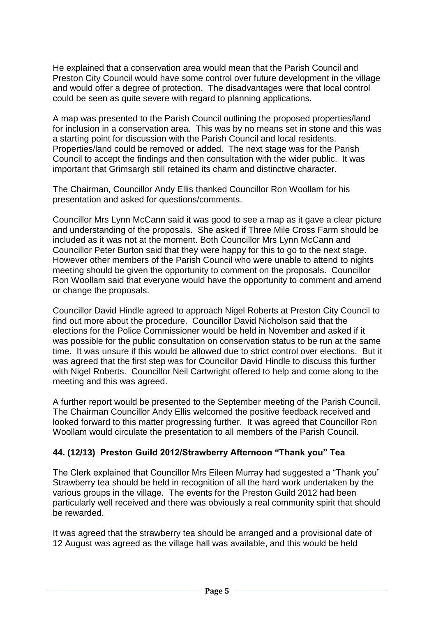He explained that a conservation area would mean that the Parish Council and Preston City Council would have some control over future development in the village and would offer a degree of protection. The disadvantages were that local control could be seen as quite severe with regard to planning applications.

A map was presented to the Parish Council outlining the proposed properties/land for inclusion in a conservation area. This was by no means set in stone and this was a starting point for discussion with the Parish Council and local residents. Properties/land could be removed or added. The next stage was for the Parish Council to accept the findings and then consultation with the wider public. It was important that Grimsargh still retained its charm and distinctive character.

The Chairman, Councillor Andy Ellis thanked Councillor Ron Woollam for his presentation and asked for questions/comments.

Councillor Mrs Lynn McCann said it was good to see a map as it gave a clear picture and understanding of the proposals. She asked if Three Mile Cross Farm should be included as it was not at the moment. Both Councillor Mrs Lynn McCann and Councillor Peter Burton said that they were happy for this to go to the next stage. However other members of the Parish Council who were unable to attend to nights meeting should be given the opportunity to comment on the proposals. Councillor Ron Woollam said that everyone would have the opportunity to comment and amend or change the proposals.

Councillor David Hindle agreed to approach Nigel Roberts at Preston City Council to find out more about the procedure. Councillor David Nicholson said that the elections for the Police Commissioner would be held in November and asked if it was possible for the public consultation on conservation status to be run at the same time. It was unsure if this would be allowed due to strict control over elections. But it was agreed that the first step was for Councillor David Hindle to discuss this further with Nigel Roberts. Councillor Neil Cartwright offered to help and come along to the meeting and this was agreed.

A further report would be presented to the September meeting of the Parish Council. The Chairman Councillor Andy Ellis welcomed the positive feedback received and looked forward to this matter progressing further. It was agreed that Councillor Ron Woollam would circulate the presentation to all members of the Parish Council.

### **44. (12/13) Preston Guild 2012/Strawberry Afternoon "Thank you" Tea**

The Clerk explained that Councillor Mrs Eileen Murray had suggested a "Thank you" Strawberry tea should be held in recognition of all the hard work undertaken by the various groups in the village. The events for the Preston Guild 2012 had been particularly well received and there was obviously a real community spirit that should be rewarded.

It was agreed that the strawberry tea should be arranged and a provisional date of 12 August was agreed as the village hall was available, and this would be held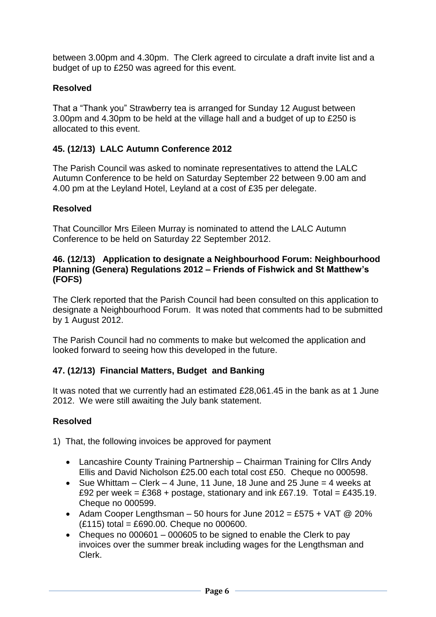between 3.00pm and 4.30pm. The Clerk agreed to circulate a draft invite list and a budget of up to £250 was agreed for this event.

# **Resolved**

That a "Thank you" Strawberry tea is arranged for Sunday 12 August between 3.00pm and 4.30pm to be held at the village hall and a budget of up to £250 is allocated to this event.

# **45. (12/13) LALC Autumn Conference 2012**

The Parish Council was asked to nominate representatives to attend the LALC Autumn Conference to be held on Saturday September 22 between 9.00 am and 4.00 pm at the Leyland Hotel, Leyland at a cost of £35 per delegate.

### **Resolved**

That Councillor Mrs Eileen Murray is nominated to attend the LALC Autumn Conference to be held on Saturday 22 September 2012.

#### **46. (12/13) Application to designate a Neighbourhood Forum: Neighbourhood Planning (Genera) Regulations 2012 – Friends of Fishwick and St Matthew's (FOFS)**

The Clerk reported that the Parish Council had been consulted on this application to designate a Neighbourhood Forum. It was noted that comments had to be submitted by 1 August 2012.

The Parish Council had no comments to make but welcomed the application and looked forward to seeing how this developed in the future.

### **47. (12/13) Financial Matters, Budget and Banking**

It was noted that we currently had an estimated £28,061.45 in the bank as at 1 June 2012. We were still awaiting the July bank statement.

### **Resolved**

1) That, the following invoices be approved for payment

- Lancashire County Training Partnership Chairman Training for Cllrs Andy Ellis and David Nicholson £25.00 each total cost £50. Cheque no 000598.
- Sue Whittam Clerk 4 June, 11 June, 18 June and 25 June = 4 weeks at £92 per week = £368 + postage, stationary and ink £67.19. Total = £435.19. Cheque no 000599.
- Adam Cooper Lengthsman  $-50$  hours for June 2012 = £575 + VAT @ 20% (£115) total = £690.00. Cheque no 000600.
- Cheques no 000601 000605 to be signed to enable the Clerk to pay invoices over the summer break including wages for the Lengthsman and Clerk.